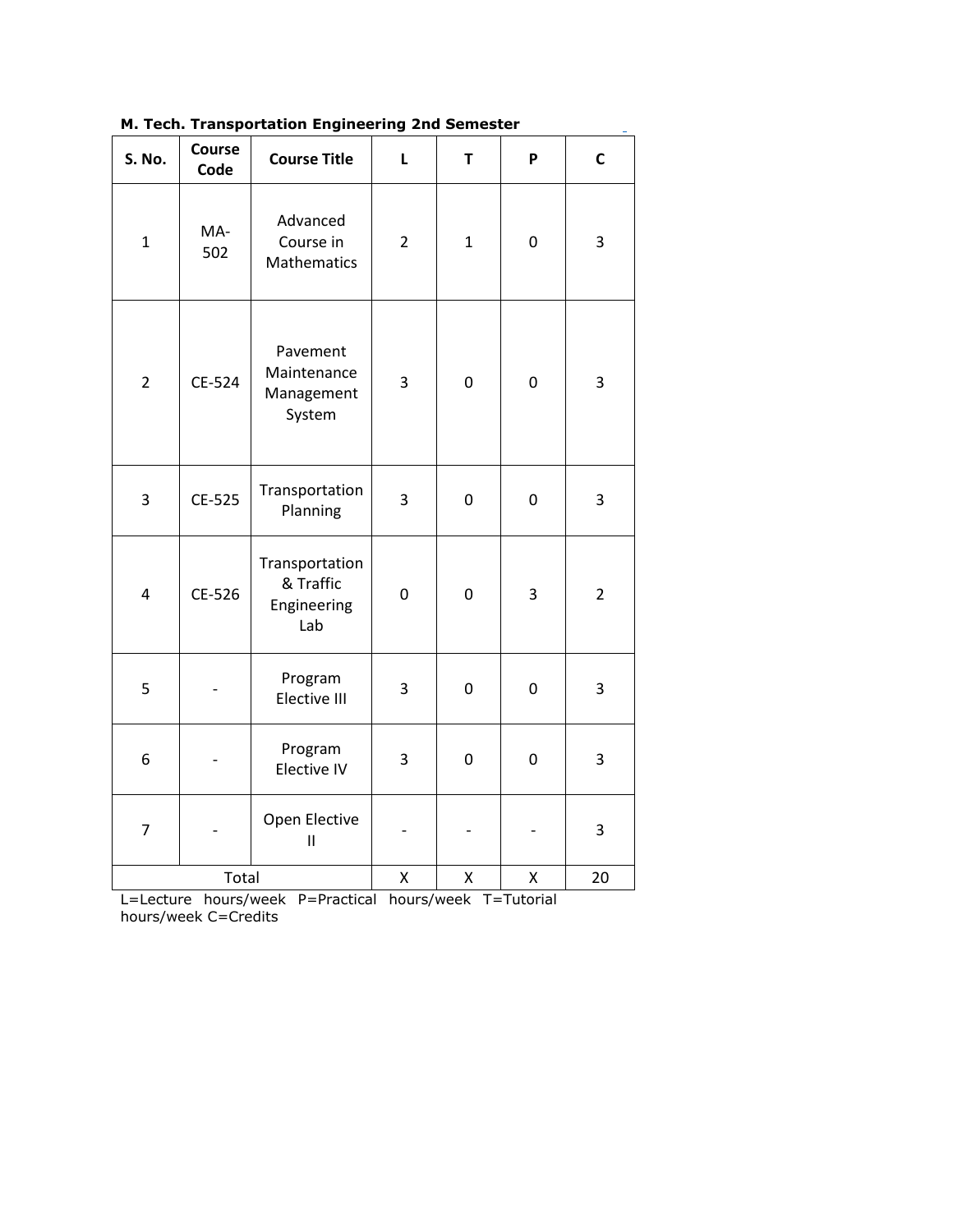| м. тесп. тransportation Engineering znd semester |                |                                                   |                  |                  |                  |                |
|--------------------------------------------------|----------------|---------------------------------------------------|------------------|------------------|------------------|----------------|
| <b>S. No.</b>                                    | Course<br>Code | <b>Course Title</b>                               | L                | T                | P                | $\mathsf{C}$   |
| $\mathbf{1}$                                     | MA-<br>502     | Advanced<br>Course in<br>Mathematics              | $\overline{2}$   | $\mathbf{1}$     | $\boldsymbol{0}$ | 3              |
| $\overline{2}$                                   | CE-524         | Pavement<br>Maintenance<br>Management<br>System   | 3                | $\mathbf 0$      | 0                | 3              |
| 3                                                | CE-525         | Transportation<br>Planning                        | 3                | $\boldsymbol{0}$ | 0                | 3              |
| 4                                                | CE-526         | Transportation<br>& Traffic<br>Engineering<br>Lab | $\boldsymbol{0}$ | 0                | 3                | $\overline{2}$ |
| 5                                                |                | Program<br>Elective III                           | 3                | 0                | 0                | 3              |
| 6                                                |                | Program<br>Elective IV                            | 3                | 0                | $\boldsymbol{0}$ | 3              |
| 7                                                |                | Open Elective<br>$\mathbf{II}$                    |                  |                  |                  | 3              |
| Total                                            |                |                                                   | Χ                | Χ                | Χ                | 20             |

**M. Tech. Transportation Engineering 2nd Semester**

L=Lecture hours/week P=Practical hours/week T=Tutorial hours/week C=Credits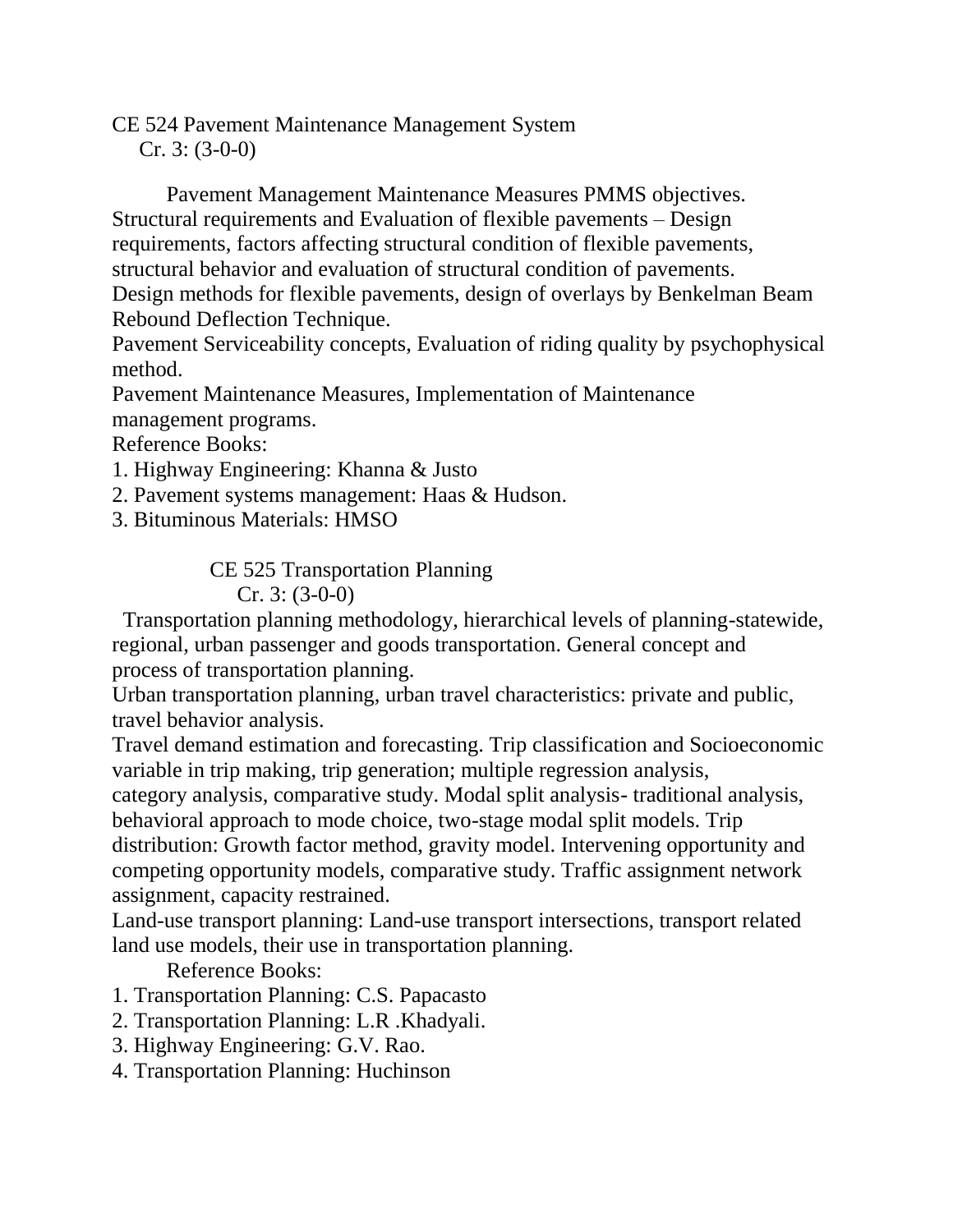CE 524 Pavement Maintenance Management System

Cr. 3: (3-0-0)

 Pavement Management Maintenance Measures PMMS objectives. Structural requirements and Evaluation of flexible pavements – Design requirements, factors affecting structural condition of flexible pavements, structural behavior and evaluation of structural condition of pavements. Design methods for flexible pavements, design of overlays by Benkelman Beam Rebound Deflection Technique.

Pavement Serviceability concepts, Evaluation of riding quality by psychophysical method.

Pavement Maintenance Measures, Implementation of Maintenance management programs.

Reference Books:

1. Highway Engineering: Khanna & Justo

2. Pavement systems management: Haas & Hudson.

3. Bituminous Materials: HMSO

CE 525 Transportation Planning

Cr. 3: (3-0-0)

 Transportation planning methodology, hierarchical levels of planning-statewide, regional, urban passenger and goods transportation. General concept and process of transportation planning.

Urban transportation planning, urban travel characteristics: private and public, travel behavior analysis.

Travel demand estimation and forecasting. Trip classification and Socioeconomic variable in trip making, trip generation; multiple regression analysis,

category analysis, comparative study. Modal split analysis- traditional analysis, behavioral approach to mode choice, two-stage modal split models. Trip

distribution: Growth factor method, gravity model. Intervening opportunity and competing opportunity models, comparative study. Traffic assignment network assignment, capacity restrained.

Land-use transport planning: Land-use transport intersections, transport related land use models, their use in transportation planning.

Reference Books:

1. Transportation Planning: C.S. Papacasto

- 2. Transportation Planning: L.R .Khadyali.
- 3. Highway Engineering: G.V. Rao.
- 4. Transportation Planning: Huchinson